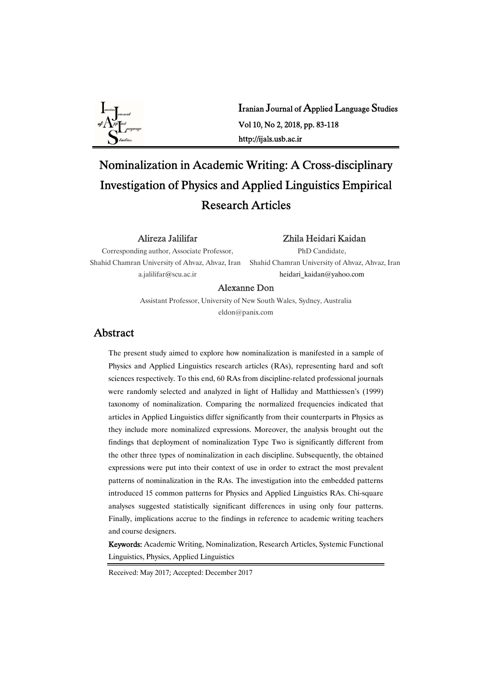

# Iranian Journal of Applied Language Studies Vol10,No2,2018,pp.83-118 http://ijals.usb.ac.ir

# Nominalization in Academic Writing: A Cross-disciplinary Investigation of Physics and Applied Linguistics Empirical ResearchArticles

#### Alireza Jalilifar

Zhila Heidari Kaidan

Corresponding author, Associate Professor, Shahid Chamran University of Ahvaz, Ahvaz, Iran a.jalilifar@scu.ac.ir

PhD Candidate. Shahid Chamran University of Ahvaz, Ahvaz, Iran heidari\_kaidan@yahoo.com

### Alexanne Don

Assistant Professor, University of New South Wales, Sydney, Australia eldon@panix.com

# Abstract

The present study aimed to explore how nominalization is manifested in a sample of Physics and Applied Linguistics research articles (RAs), representing hard and soft sciences respectively. To this end, 60 RAs from discipline-related professional journals were randomly selected and analyzed in light of Halliday and Matthiessen's (1999) taxonomy of nominalization. Comparing the normalized frequencies indicated that articles in Applied Linguistics differ significantly from their counterparts in Physics as they include more nominalized expressions. Moreover, the analysis brought out the findings that deployment of nominalization Type Two is significantly different from the other three types of nominalization in each discipline. Subsequently, the obtained expressions were put into their context of use in order to extract the most prevalent patterns of nominalization in the RAs. The investigation into the embedded patterns introduced 15 common patterns for Physics and Applied Linguistics RAs. Chi-square analyses suggested statistically significant differences in using only four patterns. Finally, implications accrue to the findings in reference to academic writing teachers and course designers.

Keywords: Academic Writing, Nominalization, Research Articles, Systemic Functional Linguistics, Physics, Applied Linguistics

Received: May 2017; Accepted: December 2017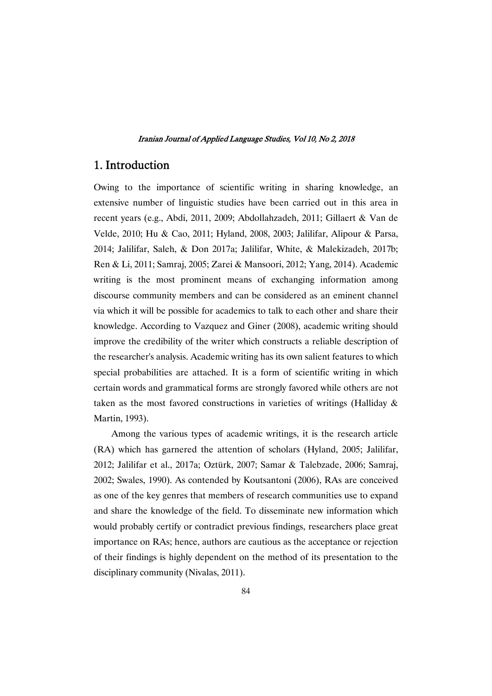## 1. Introduction

Owing to the importance of scientific writing in sharing knowledge, an extensive number of linguistic studies have been carried out in this area in recent years (e.g., Abdi, 2011, 2009; Abdollahzadeh, 2011; Gillaert & Van de Velde, 2010; Hu & Cao, 2011; Hyland, 2008, 2003; Jalilifar, Alipour & Parsa, 2014; Jalilifar, Saleh, & Don 2017a; Jalilifar, White, & Malekizadeh, 2017b; Ren & Li, 2011; Samraj, 2005; Zarei & Mansoori, 2012; Yang, 2014). Academic writing is the most prominent means of exchanging information among discourse community members and can be considered as an eminent channel via which it will be possible for academics to talk to each other and share their knowledge. According to Vazquez and Giner (2008), academic writing should improve the credibility of the writer which constructs a reliable description of the researcher's analysis. Academic writing has its own salient features to which special probabilities are attached. It is a form of scientific writing in which certain words and grammatical forms are strongly favored while others are not taken as the most favored constructions in varieties of writings (Halliday & Martin, 1993).

Among the various types of academic writings, it is the research article (RA) which has garnered the attention of scholars (Hyland, 2005; Jalilifar, 2012; Jalilifar et al., 2017a; Oztürk, 2007; Samar & Talebzade, 2006; Samraj, 2002; Swales, 1990). As contended by Koutsantoni (2006), RAs are conceived as one of the key genres that members of research communities use to expand and share the knowledge of the field. To disseminate new information which would probably certify or contradict previous findings, researchers place great importance on RAs; hence, authors are cautious as the acceptance or rejection of their findings is highly dependent on the method of its presentation to the disciplinary community (Nivalas, 2011).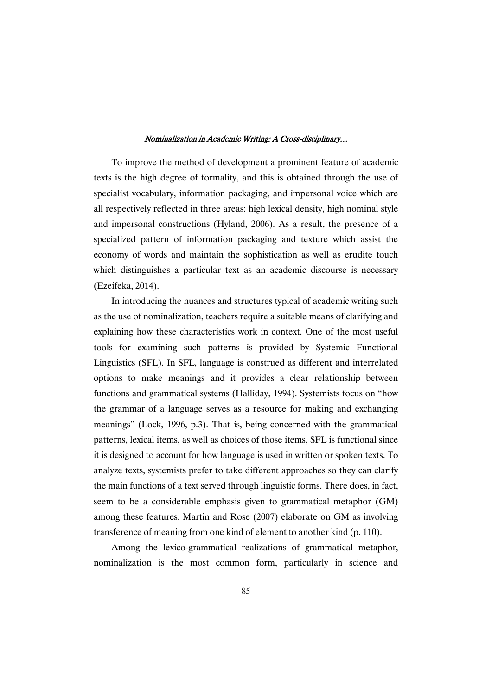To improve the method of development a prominent feature of academic texts is the high degree of formality, and this is obtained through the use of specialist vocabulary, information packaging, and impersonal voice which are all respectively reflected in three areas: high lexical density, high nominal style and impersonal constructions (Hyland, 2006). As a result, the presence of a specialized pattern of information packaging and texture which assist the economy of words and maintain the sophistication as well as erudite touch which distinguishes a particular text as an academic discourse is necessary (Ezeifeka,2014).

In introducing the nuances and structures typical of academic writing such as the use of nominalization, teachers require a suitable means of clarifying and explaining how these characteristics work in context. One of the most useful tools for examining such patterns is provided by Systemic Functional Linguistics (SFL). In SFL, language is construed as different and interrelated options to make meanings and it provides a clear relationship between functions and grammatical systems (Halliday, 1994). Systemists focus on "how the grammar of a language serves as a resource for making and exchanging meanings" (Lock, 1996, p.3). That is, being concerned with the grammatical patterns, lexical items, as well as choices of those items, SFL is functional since it is designed to account for how language is used in written or spoken texts. To analyze texts, systemists prefer to take different approaches so they can clarify the main functions of a text served through linguistic forms. There does, in fact, seem to be a considerable emphasis given to grammatical metaphor (GM) among these features. Martin and Rose (2007) elaborate on GM as involving transference of meaning from one kind of element to another kind (p. 110).

Among the lexico-grammatical realizations of grammatical metaphor, nominalization is the most common form, particularly in science and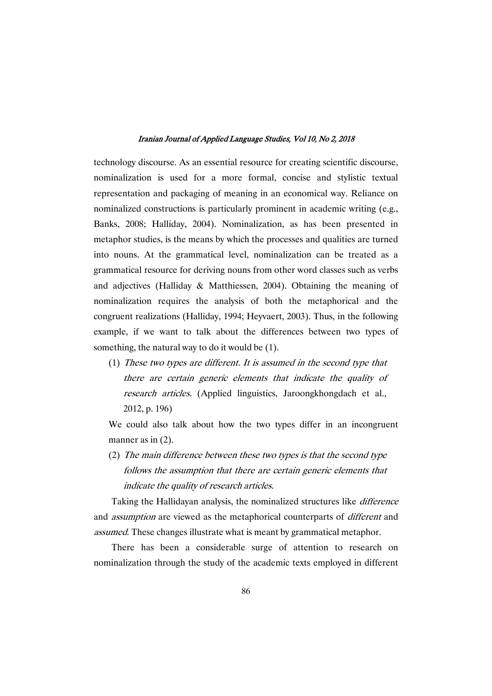technology discourse. As an essential resource for creating scientific discourse, nominalization is used for a more formal, concise and stylistic textual representation and packaging of meaning in an economical way. Reliance on nominalized constructions is particularly prominent in academic writing (e.g., Banks, 2008; Halliday, 2004). Nominalization, as has been presented in metaphor studies, is the means by which the processes and qualities are turned into nouns. At the grammatical level, nominalization can be treated as a grammatical resource for deriving nouns from other word classes such as verbs and adjectives (Halliday & Matthiessen, 2004). Obtaining the meaning of nominalization requires the analysis of both the metaphorical and the congruent realizations (Halliday, 1994; Heyvaert, 2003). Thus, in the following example, if we want to talk about the differences between two types of something, the natural way to do it would be (1).

(1) These two types are different. It is assumed in the second type that there are certain generic elements that indicate the quality of research articles. (Applied linguistics, Jaroongkhongdach et al., 2012,p.196)

We could also talk about how the two types differ in an incongruent manner as in  $(2)$ .

(2) The main difference between these two types is that the second type follows the assumption that there are certain generic elements that indicate the quality of research articles.

Taking the Hallidayan analysis, the nominalized structures like *difference* and *assumption* are viewed as the metaphorical counterparts of *different* and assumed. These changes illustrate what is meant by grammatical metaphor.

There has been a considerable surge of attention to research on nominalization through the study of the academic texts employed in different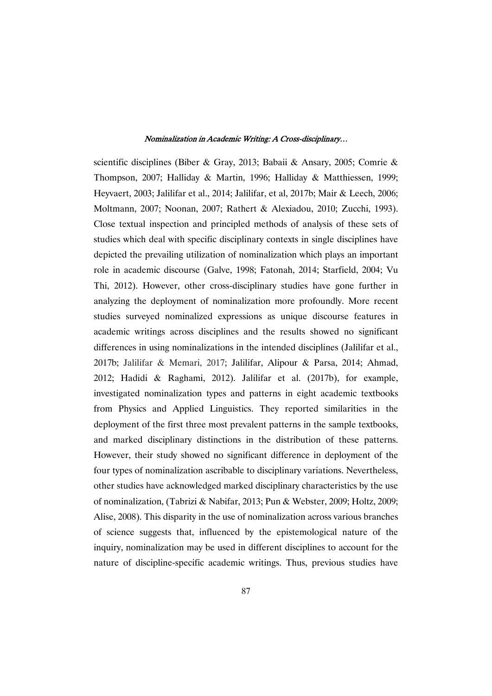scientific disciplines (Biber & Gray, 2013; Babaii & Ansary, 2005; Comrie & Thompson, 2007; Halliday & Martin, 1996; Halliday & Matthiessen, 1999; Heyvaert, 2003; Jalilifar et al., 2014; Jalilifar, et al, 2017b; Mair & Leech, 2006; Moltmann, 2007; Noonan, 2007; Rathert & Alexiadou, 2010; Zucchi, 1993). Close textual inspection and principled methods of analysis of these sets of studies which deal with specific disciplinary contexts in single disciplines have depicted the prevailing utilization of nominalization which plays an important role in academic discourse (Galve, 1998; Fatonah, 2014; Starfield, 2004; Vu Thi, 2012). However, other cross-disciplinary studies have gone further in analyzing the deployment of nominalization more profoundly. More recent studies surveyed nominalized expressions as unique discourse features in academic writings across disciplines and the results showed no significant differences in using nominalizations in the intended disciplines (Jalilifar et al., 2017b; Jalilifar & Memari, 2017; Jalilifar, Alipour & Parsa, 2014; Ahmad, 2012; Hadidi & Raghami, 2012). Jalilifar et al. (2017b), for example, investigated nominalization types and patterns in eight academic textbooks from Physics and Applied Linguistics. They reported similarities in the deployment of the first three most prevalent patterns in the sample textbooks, and marked disciplinary distinctions in the distribution of these patterns. However, their study showed no significant difference in deployment of the four types of nominalization ascribable to disciplinary variations. Nevertheless, other studies have acknowledged marked disciplinary characteristics by the use of nominalization, (Tabrizi & Nabifar, 2013; Pun & Webster, 2009; Holtz, 2009; Alise, 2008). This disparity in the use of nominalization across various branches of science suggests that, influenced by the epistemological nature of the inquiry, nominalization may be used in different disciplines to account for the nature of discipline-specific academic writings. Thus, previous studies have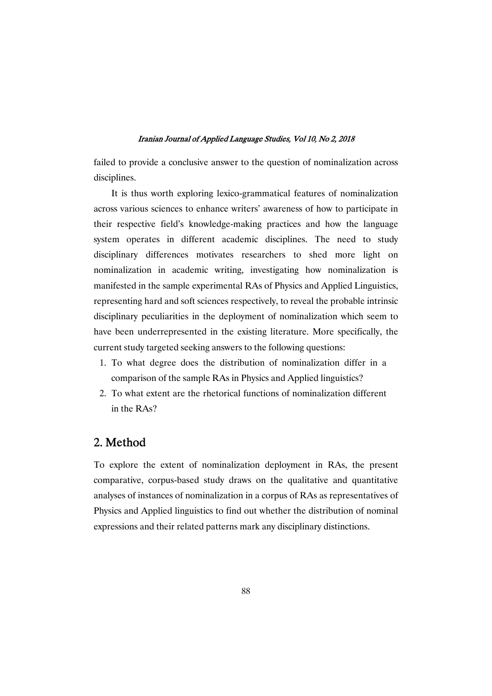failed to provide a conclusive answer to the question of nominalization across disciplines.

It is thus worth exploring lexico-grammatical features of nominalization across various sciences to enhance writers' awareness of how to participate in their respective field's knowledge-making practices and how the language system operates in different academic disciplines. The need to study disciplinary differences motivates researchers to shed more light on nominalization in academic writing, investigating how nominalization is manifested in the sample experimental RAs of Physics and Applied Linguistics, representing hard and soft sciences respectively, to reveal the probable intrinsic disciplinary peculiarities in the deployment of nominalization which seem to have been underrepresented in the existing literature. More specifically, the current study targeted seeking answers to the following questions:

- 1. To what degree does the distribution of nominalization differ in a comparison of the sample RAs in Physics and Applied linguistics?
- 2. To what extent are the rhetorical functions of nominalization different in the RAs?

# 2. Method

To explore the extent of nominalization deployment in RAs, the present comparative, corpus-based study draws on the qualitative and quantitative analyses of instances of nominalization in a corpus of RAs as representatives of Physics and Applied linguistics to find out whether the distribution of nominal expressions and their related patterns mark any disciplinary distinctions.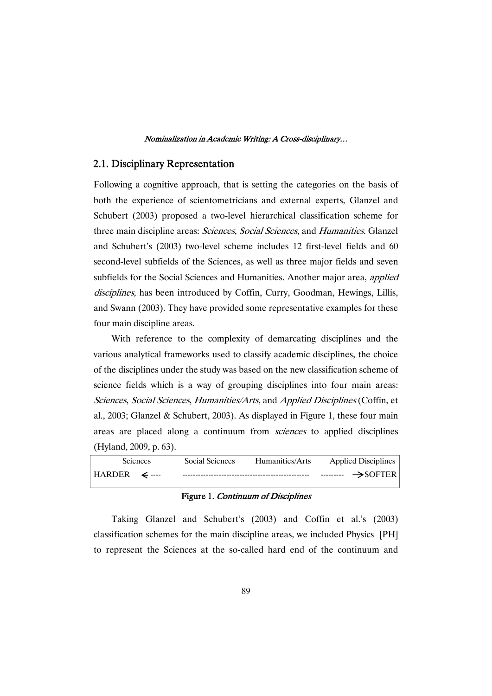### 2.1. Disciplinary Representation

Following a cognitive approach, that is setting the categories on the basis of both the experience of scientometricians and external experts, Glanzel and Schubert (2003) proposed a two-level hierarchical classification scheme for three main discipline areas: Sciences, Social Sciences, and Humanities. Glanzel and Schubert's (2003) two-level scheme includes 12 first-level fields and 60 second-level subfields of the Sciences, as well as three major fields and seven subfields for the Social Sciences and Humanities. Another major area, *applied* disciplines, has been introduced by Coffin, Curry, Goodman, Hewings, Lillis, and Swann (2003). They have provided some representative examples for these four main discipline areas.

With reference to the complexity of demarcating disciplines and the various analytical frameworks used to classify academic disciplines, the choice of the disciplines under the study was based on the new classification scheme of science fields which is a way of grouping disciplines into four main areas: Sciences, Social Sciences, Humanities/Arts, and Applied Disciplines (Coffin, et al., 2003; Glanzel & Schubert, 2003). As displayed in Figure 1, these four main areas are placed along a continuum from sciences to applied disciplines (Hyland,2009,p.63).

|                                           | <b>Sciences</b> | Social Sciences | Humanities/Arts | <b>Applied Disciplines</b> |
|-------------------------------------------|-----------------|-----------------|-----------------|----------------------------|
| $HARDER \leftarrow \leftarrow \leftarrow$ |                 |                 |                 | $\rightarrow$ SOFTER       |

### Figure 1. Continuum of Disciplines

Taking Glanzel and Schubert's (2003) and Coffin et al.'s (2003) classification schemes for the main discipline areas, we included Physics [PH] to represent the Sciences at the so-called hard end of the continuum and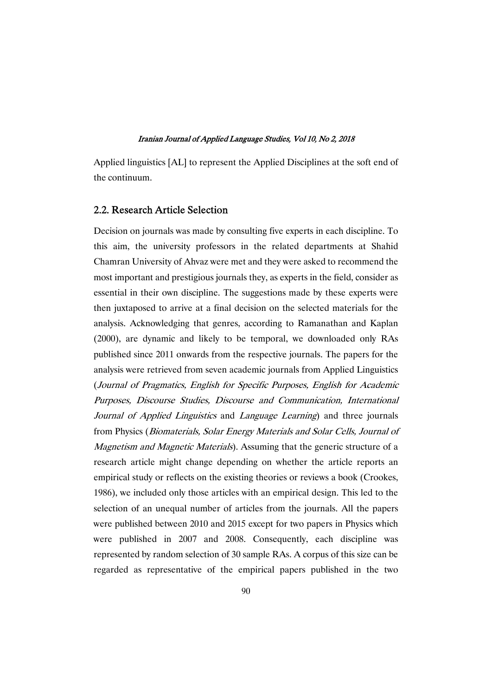Applied linguistics [AL] to represent the Applied Disciplines at the soft end of the continuum.

### 2.2. Research Article Selection

Decision on journals was made by consulting five experts in each discipline. To this aim, the university professors in the related departments at Shahid Chamran University of Ahvaz were met and they were asked to recommend the most important and prestigious journals they, as experts in the field, consider as essential in their own discipline. The suggestions made by these experts were then juxtaposed to arrive at a final decision on the selected materials for the analysis. Acknowledging that genres, according to Ramanathan and Kaplan (2000), are dynamic and likely to be temporal, we downloaded only RAs published since 2011 onwards from the respective journals. The papers for the analysis were retrieved from seven academic journals from Applied Linguistics (Journal of Pragmatics, English for Specific Purposes, English for Academic Purposes, Discourse Studies, Discourse and Communication, International Journal of Applied Linguistics and Language Learning) and three journals from Physics (Biomaterials, Solar Energy Materials and Solar Cells, Journal of Magnetism and Magnetic Materials). Assuming that the generic structure of a research article might change depending on whether the article reports an empirical study or reflects on the existing theories or reviews a book (Crookes, 1986), we included only those articles with an empirical design. This led to the selection of an unequal number of articles from the journals. All the papers were published between 2010 and 2015 except for two papers in Physics which were published in 2007 and 2008. Consequently, each discipline was represented by random selection of 30 sample RAs. A corpus of this size can be regarded as representative of the empirical papers published in the two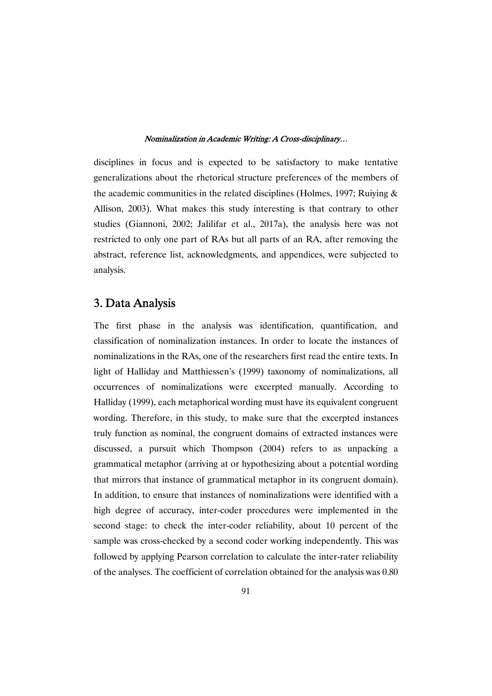disciplines in focus and is expected to be satisfactory to make tentative generalizations about the rhetorical structure preferences of the members of the academic communities in the related disciplines (Holmes, 1997; Ruiying  $\&$ Allison, 2003). What makes this study interesting is that contrary to other studies (Giannoni, 2002; Jalilifar et al., 2017a), the analysis here was not restricted to only one part of RAs but all parts of an RA, after removing the abstract, reference list, acknowledgments, and appendices, were subjected to analysis.

# 3. Data Analysis

The first phase in the analysis was identification, quantification, and classification of nominalization instances. In order to locate the instances of nominalizations in the RAs, one of the researchers first read the entire texts. In light of Halliday and Matthiessen's (1999) taxonomy of nominalizations, all occurrences of nominalizations were excerpted manually. According to Halliday (1999), each metaphorical wording must have its equivalent congruent wording. Therefore, in this study, to make sure that the excerpted instances truly function as nominal, the congruent domains of extracted instances were discussed, a pursuit which Thompson (2004) refers to as unpacking a grammatical metaphor (arriving at or hypothesizing about a potential wording that mirrors that instance of grammatical metaphor in its congruent domain). In addition, to ensure that instances of nominalizations were identified with a high degree of accuracy, inter-coder procedures were implemented in the second stage: to check the inter-coder reliability, about 10 percent of the sample was cross-checked by a second coder working independently. This was followed by applying Pearson correlation to calculate the inter-rater reliability of the analyses. The coefficient of correlation obtained for the analysis was 0.80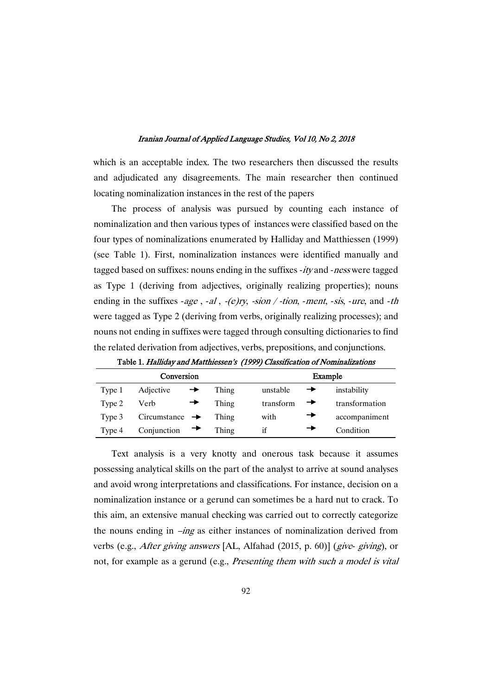which is an acceptable index. The two researchers then discussed the results and adjudicated any disagreements. The main researcher then continued locating nominalization instances in the rest of the papers

The process of analysis was pursued by counting each instance of nominalization and then various types of instances were classified based on the four types of nominalizations enumerated by Halliday and Matthiessen (1999) (see Table 1). First, nominalization instances were identified manually and tagged based on suffixes: nouns ending in the suffixes  $-ity$  and  $-ness$  were tagged as Type 1 (deriving from adjectives, originally realizing properties); nouns ending in the suffixes -age, -al, -(e)ry, -sion / -tion, -ment, -sis, -ure, and -th were tagged as Type 2 (deriving from verbs, originally realizing processes); and nouns not ending in suffixes were tagged through consulting dictionaries to find the related derivation from adjectives, verbs, prepositions, and conjunctions.

|        | Conversion                 |       |           | Example        |
|--------|----------------------------|-------|-----------|----------------|
| Type 1 | Adjective                  | Thing | unstable  | instability    |
| Type 2 | Verb                       | Thing | transform | transformation |
| Type 3 | Circumstance $\rightarrow$ | Thing | with      | accompaniment  |
| Type 4 | Conjunction                | Thing | if        | Condition      |

Table 1. Halliday and Matthiessen's (1999) Classification of Nominalizations

Text analysis is a very knotty and onerous task because it assumes possessing analytical skills on the part of the analyst to arrive at sound analyses and avoid wrong interpretations and classifications. For instance, decision on a nominalization instance or a gerund can sometimes be a hard nut to crack. To this aim, an extensive manual checking was carried out to correctly categorize the nouns ending in  $-\text{ing}$  as either instances of nominalization derived from verbs (e.g., *After giving answers* [AL, Alfahad (2015, p. 60)] (*give-giving*), or not, for example as a gerund (e.g., Presenting them with such a model is vital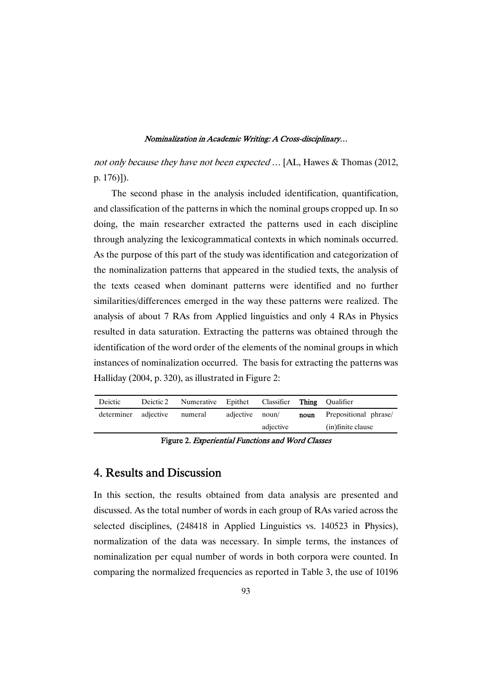not only because they have not been expected ... [AL, Hawes & Thomas (2012, p.176)]).

The second phase in the analysis included identification, quantification, and classification of the patterns in which the nominal groups cropped up. In so doing, the main researcher extracted the patterns used in each discipline through analyzing the lexicogrammatical contexts in which nominals occurred. As the purpose of this part of the study was identification and categorization of the nominalization patterns that appeared in the studied texts, the analysis of the texts ceased when dominant patterns were identified and no further similarities/differences emerged in the way these patterns were realized. The analysis of about 7 RAs from Applied linguistics and only 4 RAs in Physics resulted in data saturation. Extracting the patterns was obtained through the identification of the word order of the elements of the nominal groups in which instances of nominalization occurred. The basis for extracting the patterns was Halliday (2004, p. 320), as illustrated in Figure 2:

| Deictic              | Deictic 2 Numerative Epithet Classifier Thing Qualifier |                 |           |      |                       |
|----------------------|---------------------------------------------------------|-----------------|-----------|------|-----------------------|
| determiner adjective | numeral                                                 | adjective noun/ |           | noun | Prepositional phrase/ |
|                      |                                                         |                 | adjective |      | (in) finite clause    |
|                      |                                                         |                 |           |      |                       |

Figure 2. Experiential Functions and Word Classes

## 4. Results and Discussion

In this section, the results obtained from data analysis are presented and discussed. As the total number of words in each group of RAs varied across the selected disciplines, (248418 in Applied Linguistics vs. 140523 in Physics), normalization of the data was necessary. In simple terms, the instances of nominalization per equal number of words in both corpora were counted. In comparing the normalized frequencies as reported in Table 3, the use of 10196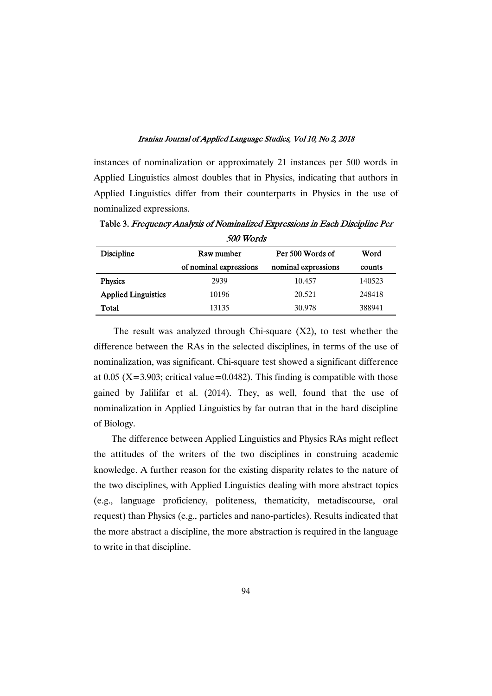instances of nominalization or approximately 21 instances per 500 words in Applied Linguistics almost doubles that in Physics, indicating that authors in Applied Linguistics differ from their counterparts in Physics in the use of nominalized expressions.

| 500 Words                  |                        |                     |        |  |  |  |
|----------------------------|------------------------|---------------------|--------|--|--|--|
| <b>Discipline</b>          | Raw number             | Per 500 Words of    | Word   |  |  |  |
|                            | of nominal expressions | nominal expressions | counts |  |  |  |
| <b>Physics</b>             | 2939                   | 10.457              | 140523 |  |  |  |
| <b>Applied Linguistics</b> | 10196                  | 20.521              | 248418 |  |  |  |
| Total                      | 13135                  | 30.978              | 388941 |  |  |  |

Table 3. Frequency Analysis of Nominalized Expressions in Each Discipline Per

The result was analyzed through Chi-square  $(X2)$ , to test whether the difference between the RAs in the selected disciplines, in terms of the use of nominalization, was significant. Chi-square test showed a significant difference at 0.05 ( $X = 3.903$ ; critical value=0.0482). This finding is compatible with those gained by Jalilifar et al. (2014). They, as well, found that the use of nominalization in Applied Linguistics by far outran that in the hard discipline of Biology.

The difference between Applied Linguistics and Physics RAs might reflect the attitudes of the writers of the two disciplines in construing academic knowledge. A further reason for the existing disparity relates to the nature of the two disciplines, with Applied Linguistics dealing with more abstract topics (e.g., language proficiency, politeness, thematicity, metadiscourse, oral request) than Physics (e.g., particles and nano-particles). Results indicated that the more abstract a discipline, the more abstraction is required in the language to write in that discipline.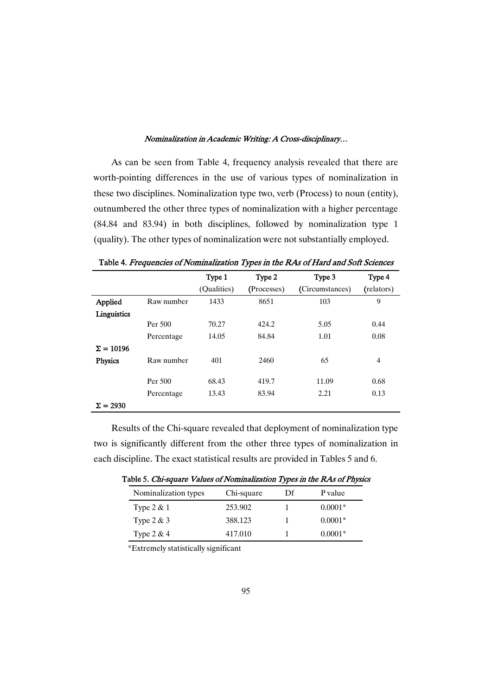As can be seen from Table 4, frequency analysis revealed that there are worth-pointing differences in the use of various types of nominalization in these two disciplines. Nominalization type two, verb (Process) to noun (entity), outnumbered the other three types of nominalization with a higher percentage (84.84 and 83.94) in both disciplines, followed by nominalization type 1 (quality). The other types of nominalization were not substantially employed.

|                  |            | Type 1<br>(Qualities) | Type 2<br>(Processes) | Type 3<br>(Circumstances) | Type 4<br>(relators) |
|------------------|------------|-----------------------|-----------------------|---------------------------|----------------------|
| Applied          | Raw number | 1433                  | 8651                  | 103                       | 9                    |
| Linguistics      |            |                       |                       |                           |                      |
|                  | Per 500    | 70.27                 | 424.2                 | 5.05                      | 0.44                 |
|                  | Percentage | 14.05                 | 84.84                 | 1.01                      | 0.08                 |
| $\Sigma = 10196$ |            |                       |                       |                           |                      |
| <b>Physics</b>   | Raw number | 401                   | 2460                  | 65                        | $\overline{4}$       |
|                  | Per 500    | 68.43                 | 419.7                 | 11.09                     | 0.68                 |
|                  | Percentage | 13.43                 | 83.94                 | 2.21                      | 0.13                 |
| $\Sigma = 2930$  |            |                       |                       |                           |                      |

Table 4. Frequencies of Nominalization Types in the RAs of Hard and Soft Sciences

Results of the Chi-square revealed that deployment of nominalization type two is significantly different from the other three types of nominalization in each discipline. The exact statistical results are provided in Tables 5 and 6.

|  | Table 5. <i>Chi-square Values of Nominalization Types in the RAs of Physics</i> |  |  |
|--|---------------------------------------------------------------------------------|--|--|
|--|---------------------------------------------------------------------------------|--|--|

| Nominalization types | Chi-square | Df | P value   |
|----------------------|------------|----|-----------|
| Type $2 & 1$         | 253.902    |    | $0.0001*$ |
| Type $2 & 3$         | 388.123    |    | $0.0001*$ |
| Type $2 & 4$         | 417.010    |    | $0.0001*$ |

\*Extremelystatisticallysignificant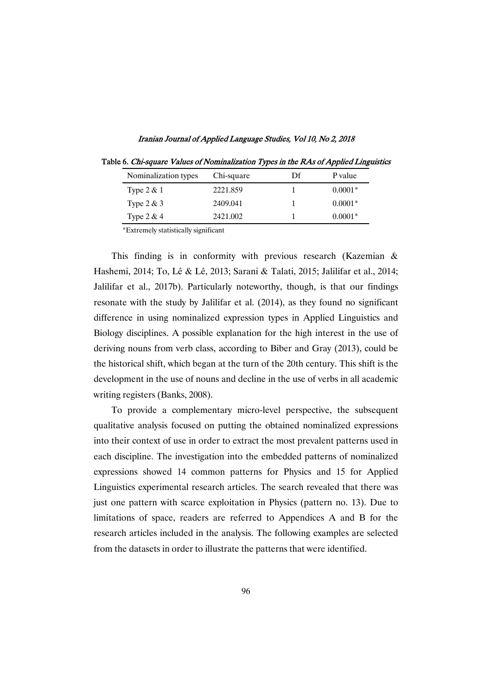| Nominalization types | Chi-square | Df | P value   |
|----------------------|------------|----|-----------|
| Type $2 & 1$         | 2221.859   |    | $0.0001*$ |
| Type $2 & 3$         | 2409.041   |    | $0.0001*$ |
| Type $2 & 4$         | 2421.002   |    | $0.0001*$ |

Iranian Journal of Applied Language Studies, Vol 10, No 2, 2018

Table 6. Chi-square Values of Nominalization Types in the RAs of Applied Linguistics

\*Extremelystatisticallysignificant

This finding is in conformity with previous research (Kazemian & Hashemi, 2014; To, Lê & Lê, 2013; Sarani & Talati, 2015; Jalilifar et al., 2014; Jalilifar et al., 2017b). Particularly noteworthy, though, is that our findings resonate with the study by Jalilifar et al.  $(2014)$ , as they found no significant difference in using nominalized expression types in Applied Linguistics and Biology disciplines. A possible explanation for the high interest in the use of deriving nouns from verb class, according to Biber and Gray (2013), could be the historical shift, which began at the turn of the 20th century. This shift is the development in the use of nouns and decline in the use of verbs in all academic writing registers (Banks, 2008).

To provide a complementary micro-level perspective, the subsequent qualitative analysis focused on putting the obtained nominalized expressions into their context of use in order to extract the most prevalent patterns used in each discipline. The investigation into the embedded patterns of nominalized expressions showed 14 common patterns for Physics and 15 for Applied Linguistics experimental research articles. The search revealed that there was just one pattern with scarce exploitation in Physics (pattern no. 13). Due to limitations of space, readers are referred to Appendices A and B for the research articles included in the analysis. The following examples are selected from the datasets in order to illustrate the patterns that were identified.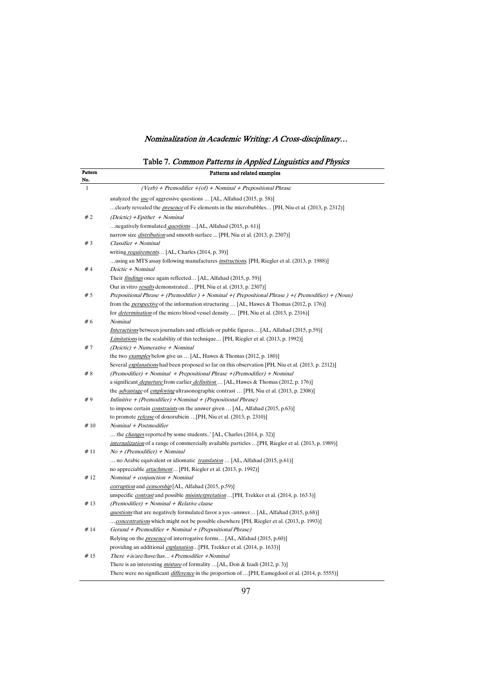Table 7. Common Patterns in Applied Linguistics and Physics

| Pattern<br>No. | Patterns and related examples                                                                                                                 |
|----------------|-----------------------------------------------------------------------------------------------------------------------------------------------|
| $\mathbf{1}$   | $(Verb) + Premodifier + (of) + Nominal + Prepositional Phrase$                                                                                |
|                | analyzed the <i>use</i> of aggressive questions  [AL, Alfahad (2015, p. 58)]                                                                  |
|                | clearly revealed the <i>presence</i> of Fe elements in the microbubbles [PH, Niu et al. (2013, p. 2312)]                                      |
| #2             | (Deictic) + Epithet + Nominal                                                                                                                 |
|                | negatively formulated <i>questions</i> [AL, Alfahad (2015, p. 61)]                                                                            |
|                | narrow size <i>distribution</i> and smooth surface  [PH, Niu et al. (2013, p. 2307)]                                                          |
| #3             | Classifier + Nominal                                                                                                                          |
|                | writing requirements [AL, Charles (2014, p. 39)]                                                                                              |
|                | using an MTS assay following manufactures <i>instructions</i> . [PH, Riegler et al. (2013, p. 1988)]                                          |
| #4             | Deictic + Nominal                                                                                                                             |
|                | Their findings once again reflected [AL, Alfahad (2015, p. 59)]                                                                               |
|                | Our in vitro <i>results</i> demonstrated [PH, Niu et al. (2013, p. 2307)]                                                                     |
| #5             | Prepositional Phrase + (Premodifier) + Nominal + (Prepositional Phrase) + (Premodifier) + (Noun)                                              |
|                | from the <i>perspective</i> of the information structuring  [AL, Hawes & Thomas (2012, p. 176)]                                               |
|                | for <i>determination</i> of the micro blood vessel density  [PH, Niu et al. (2013, p. 2316)]                                                  |
| #6             | Nominal                                                                                                                                       |
|                | <i>Interactions</i> between journalists and officials or public figures [AL, Alfahad (2015, p.59)]                                            |
|                | Limitations in the scalability of this technique [PH, Riegler et al. (2013, p. 1992)]                                                         |
| #7             | $(Deictic) + Numerative + Nominal$                                                                                                            |
|                | the two examples below give us  [AL, Hawes & Thomas (2012, p. 180)]                                                                           |
|                | Several <i>explanations</i> had been proposed so far on this observation [PH, Niu et al. (2013, p. 2312)]                                     |
| #8             | (Premodifier) + Nominal + Prepositional Phrase + (Premodifier) + Nominal                                                                      |
|                | a significant <i>departure</i> from earlier <i>definition</i> [AL, Hawes & Thomas (2012, p. 176)]                                             |
|                | the <i>advantage</i> of <i>employing</i> ultrasonographic contrast  [PH, Niu et al. (2013, p. 2308)]                                          |
| #9             | Infinitive + (Premodifier) + Nominal + (Prepositional Phrase)                                                                                 |
|                | to impose certain <i>constraints</i> on the answer given  [AL, Alfahad (2015, p.63)]                                                          |
|                | to promote release of doxorubicin  [PH, Niu et al. (2013, p. 2310)]                                                                           |
| #10            | Nominal + Postmodifier                                                                                                                        |
|                | the <i>changes</i> reported by some students' [AL, Charles (2014, p. 32)]                                                                     |
| #11            | <i>internalization</i> of a range of commercially available particles  [PH, Riegler et al. (2013, p. 1989)]<br>$No + (Premodifier) + Nominal$ |
|                | no Arabic equivalent or idiomatic <i>translation</i> [AL, Alfahad (2015, p.61)]                                                               |
|                | no appreciable <i>attachment</i> [PH, Riegler et al. (2013, p. 1992)]                                                                         |
| #12            | $Nominal + conjunction + Nominal$                                                                                                             |
|                | corruption and censorship [AL, Alfahad (2015, p.59)]                                                                                          |
|                | unspecific <i>contrast</i> and possible <i>misinterpretation</i> [PH, Trekker et al. (2014, p. 1633)]                                         |
| #13            | (Premodifier) + Nominal + Relative clause                                                                                                     |
|                | questions that are negatively formulated favor a yes -answer [AL, Alfahad (2015, p.68)]                                                       |
|                | concentrations which might not be possible elsewhere [PH, Riegler et al. (2013, p. 1993)]                                                     |
| #14            | Gerund + Premodifier + Nominal + (Prepositional Phrase)                                                                                       |
|                | Relying on the <i>presence</i> of interrogative forms [AL, Alfahad (2015, p.60)]                                                              |
|                | providing an additional <i>explanation</i> [PH, Trekker et al. (2014, p. 1633)]                                                               |
| #15            | There $+is/are/have/has+Premodifier + Nominal$                                                                                                |
|                | There is an interesting <i>mixture</i> of formality  [AL, Don & Izadi (2012, p. 3)]                                                           |
|                | There were no significant <i>difference</i> in the proportion of  [PH, Eamegdool et al. (2014, p. 5555)]                                      |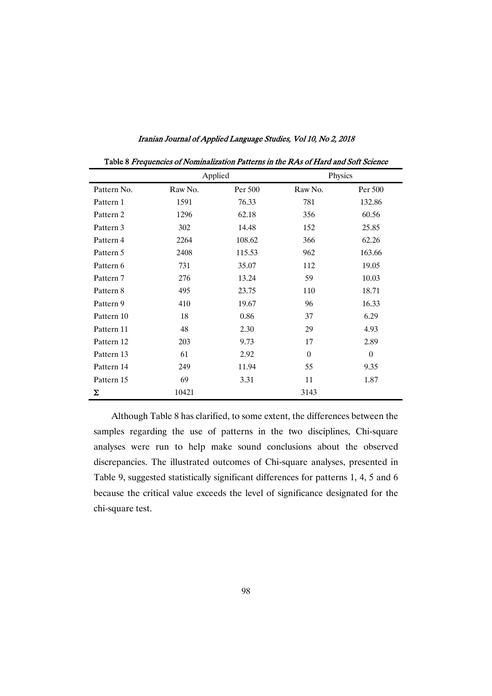| Table 8 Frequencies of Nominalization Patterns in the RAs of Hard and Soft Science |         |         |          |          |  |
|------------------------------------------------------------------------------------|---------|---------|----------|----------|--|
|                                                                                    |         | Applied |          | Physics  |  |
| Pattern No.                                                                        | Raw No. | Per 500 | Raw No.  | Per 500  |  |
| Pattern 1                                                                          | 1591    | 76.33   | 781      | 132.86   |  |
| Pattern 2                                                                          | 1296    | 62.18   | 356      | 60.56    |  |
| Pattern 3                                                                          | 302     | 14.48   | 152      | 25.85    |  |
| Pattern 4                                                                          | 2264    | 108.62  | 366      | 62.26    |  |
| Pattern 5                                                                          | 2408    | 115.53  | 962      | 163.66   |  |
| Pattern 6                                                                          | 731     | 35.07   | 112      | 19.05    |  |
| Pattern 7                                                                          | 276     | 13.24   | 59       | 10.03    |  |
| Pattern 8                                                                          | 495     | 23.75   | 110      | 18.71    |  |
| Pattern 9                                                                          | 410     | 19.67   | 96       | 16.33    |  |
| Pattern 10                                                                         | 18      | 0.86    | 37       | 6.29     |  |
| Pattern 11                                                                         | 48      | 2.30    | 29       | 4.93     |  |
| Pattern 12                                                                         | 203     | 9.73    | 17       | 2.89     |  |
| Pattern 13                                                                         | 61      | 2.92    | $\Omega$ | $\theta$ |  |
| Pattern 14                                                                         | 249     | 11.94   | 55       | 9.35     |  |
| Pattern 15                                                                         | 69      | 3.31    | 11       | 1.87     |  |
| Σ                                                                                  | 10421   |         | 3143     |          |  |

Iranian Journal of Applied Language Studies, Vol 10, No 2, 2018

Although Table 8 has clarified, to some extent, the differences between the samples regarding the use of patterns in the two disciplines, Chi-square analyses were run to help make sound conclusions about the observed discrepancies. The illustrated outcomes of Chi-square analyses, presented in Table 9, suggested statistically significant differences for patterns 1, 4, 5 and 6 because the critical value exceeds the level of significance designated for the chi-square test.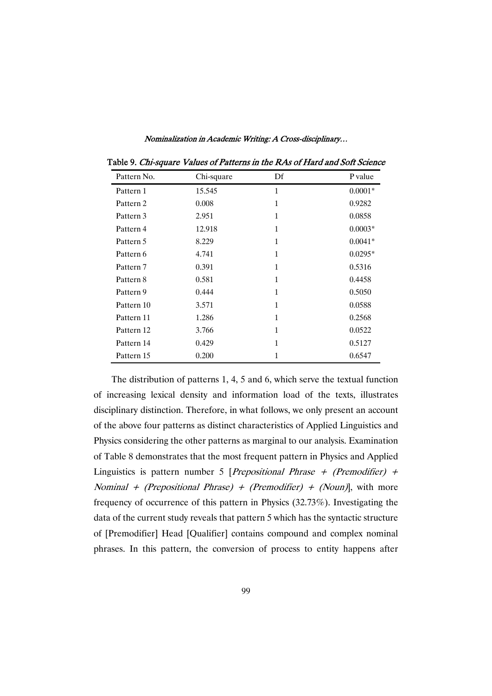| Pattern No. | Chi-square | Df | P value   |
|-------------|------------|----|-----------|
| Pattern 1   | 15.545     | 1  | $0.0001*$ |
| Pattern 2   | 0.008      | 1  | 0.9282    |
| Pattern 3   | 2.951      | 1  | 0.0858    |
| Pattern 4   | 12.918     | 1  | $0.0003*$ |
| Pattern 5   | 8.229      | 1  | $0.0041*$ |
| Pattern 6   | 4.741      | 1  | $0.0295*$ |
| Pattern 7   | 0.391      | 1  | 0.5316    |
| Pattern 8   | 0.581      | 1  | 0.4458    |
| Pattern 9   | 0.444      | 1  | 0.5050    |
| Pattern 10  | 3.571      | 1  | 0.0588    |
| Pattern 11  | 1.286      | 1  | 0.2568    |
| Pattern 12  | 3.766      | 1  | 0.0522    |
| Pattern 14  | 0.429      | 1  | 0.5127    |
| Pattern 15  | 0.200      | 1  | 0.6547    |

Table 9. Chi-square Values of Patterns in the RAs of Hard and Soft Science

The distribution of patterns 1, 4, 5 and 6, which serve the textual function of increasing lexical density and information load of the texts, illustrates disciplinary distinction. Therefore, in what follows, we only present an account of the above four patterns as distinct characteristics of Applied Linguistics and Physics considering the other patterns as marginal to our analysis. Examination of Table 8 demonstrates that the most frequent pattern in Physics and Applied Linguistics is pattern number 5 [*Prepositional Phrase + (Premodifier) +* Nominal + (Prepositional Phrase) + (Premodifier) + (Noun), with more frequency of occurrence of this pattern in Physics  $(32.73\%)$ . Investigating the data of the current study reveals that pattern 5 which has the syntactic structure of [Premodifier] Head [Qualifier] contains compound and complex nominal phrases. In this pattern, the conversion of process to entity happens after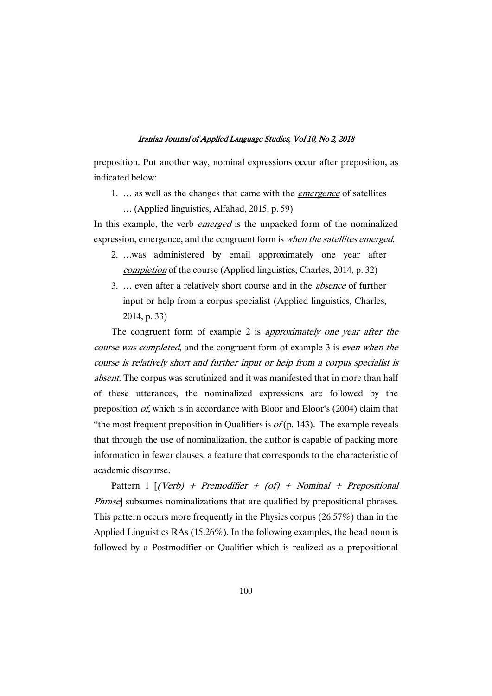preposition. Put another way, nominal expressions occur after preposition, as indicated below:

- 1. ... as well as the changes that came with the *emergence* of satellites
	- $\ldots$  (Applied linguistics, Alfahad, 2015, p. 59)

In this example, the verb *emerged* is the unpacked form of the nominalized expression, emergence, and the congruent form is when the satellites emerged.

- 2. …was administered by email approximately one year after completion of the course (Applied linguistics, Charles, 2014, p. 32)
- 3. ... even after a relatively short course and in the *absence* of further input or help from a corpus specialist (Applied linguistics, Charles, 2014,p.33)

The congruent form of example 2 is *approximately one year after the* course was completed, and the congruent form of example 3 is even when the course is relatively short and further input or help from a corpus specialist is absent. The corpus was scrutinized and it was manifested that in more than half of these utterances, the nominalized expressions are followed by the preposition *of*, which is in accordance with Bloor and Bloor's (2004) claim that "the most frequent preposition in Qualifiers is  $of (p. 143)$ . The example reveals that through the use of nominalization, the author is capable of packing more information in fewer clauses, a feature that corresponds to the characteristic of academic discourse.

Pattern 1  $[(Verb) + Premodifier + (of) + Nominal + Prepositional]$ Phrase] subsumes nominalizations that are qualified by prepositional phrases. This pattern occurs more frequently in the Physics corpus (26.57%) than in the Applied Linguistics RAs  $(15.26\%)$ . In the following examples, the head noun is followed by a Postmodifier or Qualifier which is realized as a prepositional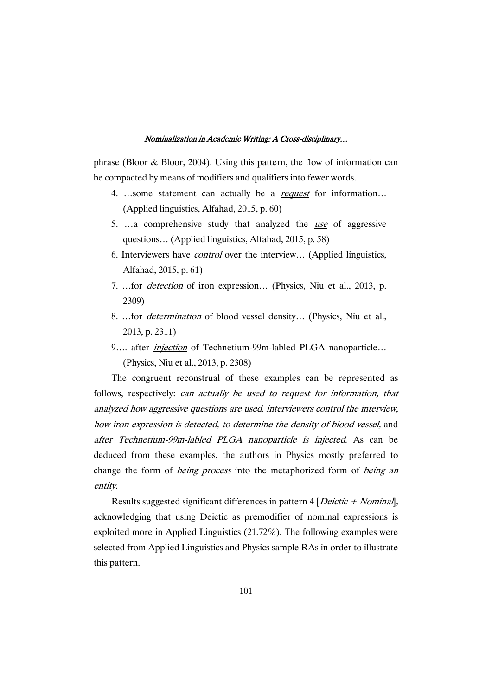phrase (Bloor & Bloor, 2004). Using this pattern, the flow of information can be compacted by means of modifiers and qualifiers into fewer words.

- 4. ...some statement can actually be a *request* for information... (Applied linguistics, Alfahad, 2015, p. 60)
- 5. …a comprehensive study that analyzed the use of aggressive questions... (Applied linguistics, Alfahad, 2015, p. 58)
- 6. Interviewers have *control* over the interview... (Applied linguistics, Alfahad, 2015, p. 61)
- 7. …for detection of iron expression… (Physics, Niu et al., 2013, p. 2309)
- 8. ...for *determination* of blood vessel density... (Physics, Niu et al., 2013,p.2311)
- 9.... after *injection* of Technetium-99m-labled PLGA nanoparticle... (Physics, Niu et al., 2013, p. 2308)

The congruent reconstrual of these examples can be represented as follows, respectively: can actually be used to request for information, that analyzed how aggressive questions are used, interviewers control the interview, how iron expression is detected, to determine the density of blood vessel, and after Technetium-99m-labled PLGA nanoparticle is injected. As can be deduced from these examples, the authors in Physics mostly preferred to change the form of *being process* into the metaphorized form of *being an* entity.

Results suggested significant differences in pattern  $4$  [*Deictic + Nominal*], acknowledging that using Deictic as premodifier of nominal expressions is exploited more in Applied Linguistics  $(21.72\%)$ . The following examples were selected from Applied Linguistics and Physics sample RAs in order to illustrate this pattern.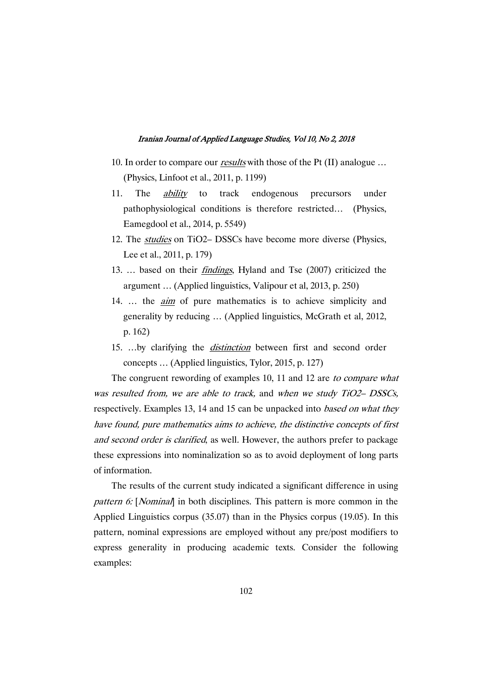- 10. In order to compare our *results* with those of the Pt (II) analogue ... (Physics,Linfootetal.,2011,p.1199)
- 11. The *ability* to track endogenous precursors under pathophysiological conditions is therefore restricted… (Physics, Eamegdool et al., 2014, p. 5549)
- 12. The *studies* on TiO2– DSSCs have become more diverse (Physics, Lee et al., 2011, p. 179)
- 13. … based on their findings, Hyland and Tse (2007) criticized the argument ... (Applied linguistics, Valipour et al, 2013, p. 250)
- 14. ... the *aim* of pure mathematics is to achieve simplicity and generality by reducing ... (Applied linguistics, McGrath et al, 2012, p.162)
- 15. ...by clarifying the *distinction* between first and second order concepts ... (Applied linguistics, Tylor, 2015, p. 127)

The congruent rewording of examples 10, 11 and 12 are to compare what was resulted from, we are able to track, and when we study TiO2– DSSCs, respectively. Examples 13, 14 and 15 can be unpacked into *based on what they* have found, pure mathematics aims to achieve, the distinctive concepts of first and second order is clarified, as well. However, the authors prefer to package these expressions into nominalization so as to avoid deployment of long parts of information.

The results of the current study indicated a significant difference in using pattern 6: [Nominal] in both disciplines. This pattern is more common in the Applied Linguistics corpus  $(35.07)$  than in the Physics corpus  $(19.05)$ . In this pattern, nominal expressions are employed without any pre/post modifiers to express generality in producing academic texts. Consider the following examples: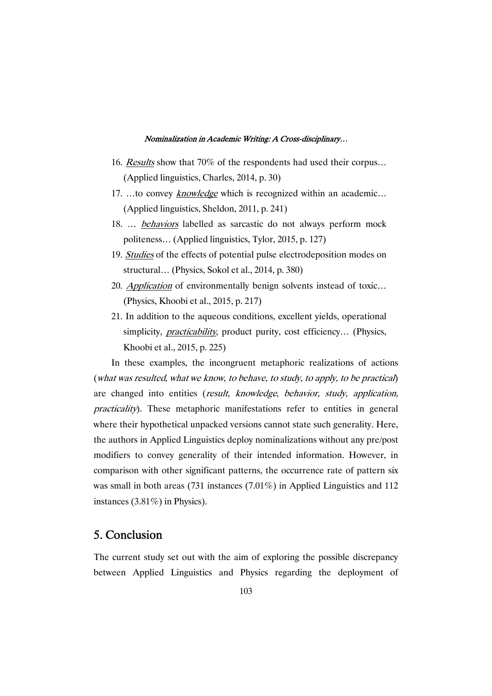- 16. Results show that 70% of the respondents had used their corpus... (Applied linguistics, Charles, 2014, p. 30)
- 17. ...to convey knowledge which is recognized within an academic...  $(Applied linguistics, Sheldon, 2011, p. 241)$
- 18. … behaviors labelled as sarcastic do not always perform mock politeness... (Applied linguistics, Tylor, 2015, p. 127)
- 19. Studies of the effects of potential pulse electrodeposition modes on structural... (Physics, Sokol et al., 2014, p. 380)
- 20. Application of environmentally benign solvents instead of toxic... (Physics, Khoobi et al., 2015, p. 217)
- 21. In addition to the aqueous conditions, excellent yields, operational simplicity, *practicability*, product purity, cost efficiency... (Physics, Khoobietal.,2015,p.225)

In these examples, the incongruent metaphoric realizations of actions (what was resulted, what we know, to behave, to study, to apply, to be practical) are changed into entities (result, knowledge, behavior, study, application, practicality). These metaphoric manifestations refer to entities in general where their hypothetical unpacked versions cannot state such generality. Here, the authors in Applied Linguistics deploy nominalizations without any pre/post modifiers to convey generality of their intended information. However, in comparison with other significant patterns, the occurrence rate of pattern six was small in both areas (731 instances (7.01%) in Applied Linguistics and 112 instances (3.81%) in Physics).

# 5. Conclusion

The current study set out with the aim of exploring the possible discrepancy between Applied Linguistics and Physics regarding the deployment of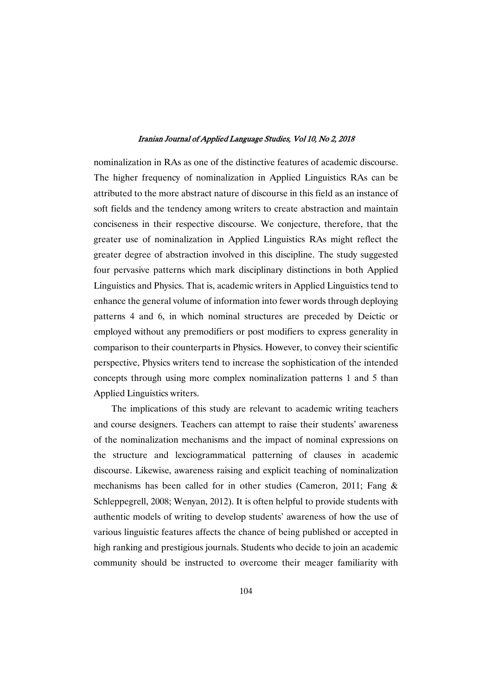nominalization in RAs as one of the distinctive features of academic discourse. The higher frequency of nominalization in Applied Linguistics RAs can be attributed to the more abstract nature of discourse in this field as an instance of soft fields and the tendency among writers to create abstraction and maintain conciseness in their respective discourse. We conjecture, therefore, that the greater use of nominalization in Applied Linguistics RAs might reflect the greater degree of abstraction involved in this discipline. The study suggested four pervasive patterns which mark disciplinary distinctions in both Applied Linguistics and Physics. That is, academic writers in Applied Linguistics tend to enhance the general volume of information into fewer words through deploying patterns 4 and 6, in which nominal structures are preceded by Deictic or employed without any premodifiers or post modifiers to express generality in comparison to their counterparts in Physics. However, to convey their scientific perspective, Physics writers tend to increase the sophistication of the intended concepts through using more complex nominalization patterns 1 and 5 than Applied Linguistics writers.

The implications of this study are relevant to academic writing teachers and course designers. Teachers can attempt to raise their students' awareness of the nominalization mechanisms and the impact of nominal expressions on the structure and lexciogrammatical patterning of clauses in academic discourse. Likewise, awareness raising and explicit teaching of nominalization mechanisms has been called for in other studies (Cameron, 2011; Fang & Schleppegrell, 2008; Wenyan, 2012). It is often helpful to provide students with authentic models of writing to develop students' awareness of how the use of various linguistic features affects the chance of being published or accepted in high ranking and prestigious journals. Students who decide to join an academic community should be instructed to overcome their meager familiarity with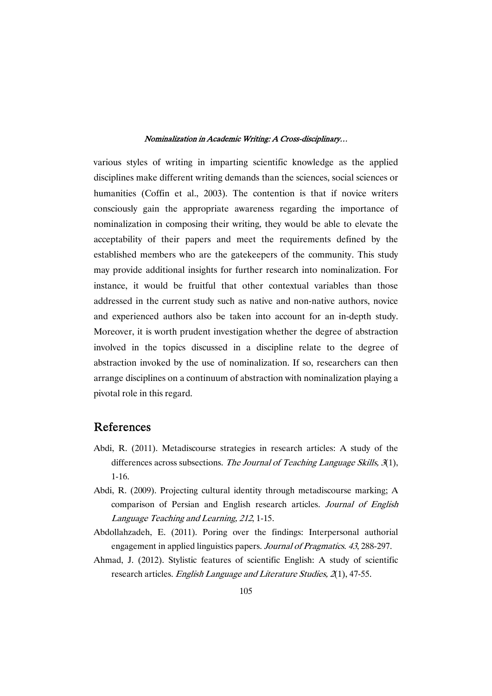various styles of writing in imparting scientific knowledge as the applied disciplines make different writing demands than the sciences, social sciences or humanities (Coffin et al., 2003). The contention is that if novice writers consciously gain the appropriate awareness regarding the importance of nominalization in composing their writing, they would be able to elevate the acceptability of their papers and meet the requirements defined by the established members who are the gatekeepers of the community. This study may provide additional insights for further research into nominalization.For instance, it would be fruitful that other contextual variables than those addressed in the current study such as native and non-native authors, novice and experienced authors also be taken into account for an in-depth study. Moreover, it is worth prudent investigation whether the degree of abstraction involved in the topics discussed in a discipline relate to the degree of abstraction invoked by the use of nominalization. If so, researchers can then arrange disciplines on a continuum of abstraction with nominalization playing a pivotal role in this regard.

### References

- Abdi, R. (2011). Metadiscourse strategies in research articles: A study of the differences across subsections. The Journal of Teaching Language Skills,  $\mathcal{I}(1)$ , 1-16.
- Abdi, R. (2009). Projecting cultural identity through metadiscourse marking; A comparison of Persian and English research articles. Journal of English Language Teaching and Learning, 212, 1-15.
- Abdollahzadeh, E. (2011). Poring over the findings: Interpersonal authorial engagement in applied linguistics papers. Journal of Pragmatics. 43, 288-297.
- Ahmad, J. (2012). Stylistic features of scientific English: A study of scientific research articles. English Language and Literature Studies, 2(1), 47-55.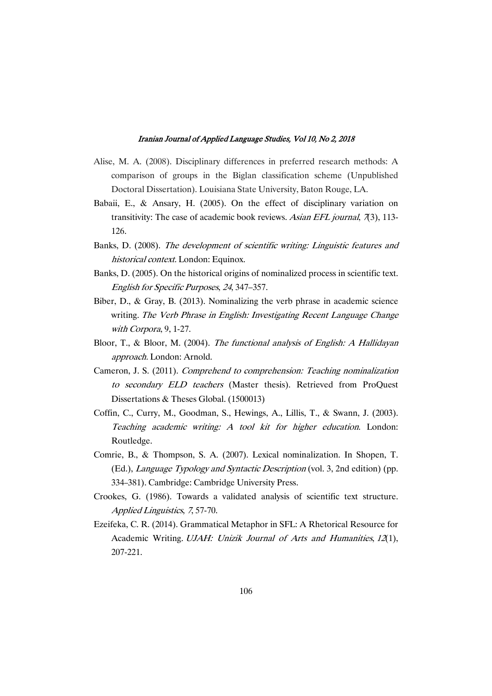- Alise, M. A. (2008). Disciplinary differences in preferred research methods: A comparison of groups in the Biglan classification scheme (Unpublished Doctoral Dissertation). Louisiana State University, Baton Rouge, LA.
- Babaii, E., & Ansary, H. (2005). On the effect of disciplinary variation on transitivity: The case of academic book reviews. Asian EFL journal,  $\pi$ (3), 113-126.
- Banks, D. (2008). The development of scientific writing: Linguistic features and historical context. London: Equinox.
- Banks, D. (2005). On the historical origins of nominalized process in scientific text. English for Specific Purposes, 24, 347–357.
- Biber, D., & Gray, B. (2013). Nominalizing the verb phrase in academic science writing. The Verb Phrase in English: Investigating Recent Language Change with Corpora, 9, 1-27.
- Bloor, T., & Bloor, M. (2004). The functional analysis of English: A Hallidayan approach. London: Arnold.
- Cameron, J. S. (2011). Comprehend to comprehension: Teaching nominalization to secondary ELD teachers (Master thesis). Retrieved from ProQuest Dissertations & Theses Global. (1500013)
- Coffin, C., Curry, M., Goodman, S., Hewings, A., Lillis, T., & Swann, J. (2003). Teaching academic writing: A tool kit for higher education. London: Routledge.
- Comrie, B., & Thompson, S. A. (2007). Lexical nominalization. In Shopen, T. (Ed.), *Language Typology and Syntactic Description* (vol. 3, 2nd edition) (pp. 334–381). Cambridge: Cambridge University Press.
- Crookes, G. (1986). Towards a validated analysis of scientific text structure. Applied Linguistics, 7, 57-70.
- Ezeifeka, C. R. (2014). Grammatical Metaphor in SFL: A Rhetorical Resource for Academic Writing. UJAH: Unizik Journal of Arts and Humanities, 12(1), 207-221.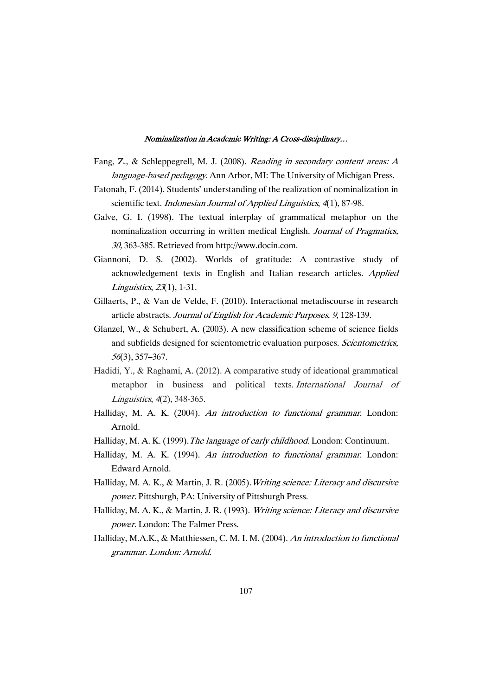- Fang, Z., & Schleppegrell, M. J. (2008). Reading in secondary content areas: A language-based pedagogy. Ann Arbor, MI: The University of Michigan Press.
- Fatonah, F. (2014). Students' understanding of the realization of nominalization in scientific text. Indonesian Journal of Applied Linguistics, 4(1), 87-98.
- Galve, G. I. (1998). The textual interplay of grammatical metaphor on the nominalization occurring in written medical English. Journal of Pragmatics, 30, 363-385. Retrieved from http://www.docin.com.
- Giannoni, D. S. (2002). Worlds of gratitude: A contrastive study of acknowledgement texts in English and Italian research articles. Applied Linguistics, 23(1), 1-31.
- Gillaerts, P., & Van de Velde, F. (2010). Interactional metadiscourse in research article abstracts. Journal of English for Academic Purposes, 9, 128-139.
- Glanzel, W., & Schubert, A.  $(2003)$ . A new classification scheme of science fields and subfields designed for scientometric evaluation purposes. Scientometrics, <sup>56</sup>(3),357–367.
- Hadidi, Y., & Raghami, A. (2012). A comparative study of ideational grammatical metaphor in business and political texts. International Journal of Linguistics, 4(2), 348-365.
- Halliday, M. A. K. (2004). An introduction to functional grammar. London: Arnold.
- Halliday, M. A. K. (1999). The language of early childhood. London: Continuum.
- Halliday, M. A. K. (1994). An introduction to functional grammar. London: Edward Arnold.
- Halliday, M. A. K., & Martin, J. R. (2005). Writing science: Literacy and discursive power. Pittsburgh, PA: University of Pittsburgh Press.
- Halliday, M. A. K., & Martin, J. R. (1993). Writing science: Literacy and discursive power. London: The Falmer Press.
- Halliday, M.A.K., & Matthiessen, C. M. I. M. (2004). An introduction to functional grammar.London:Arnold.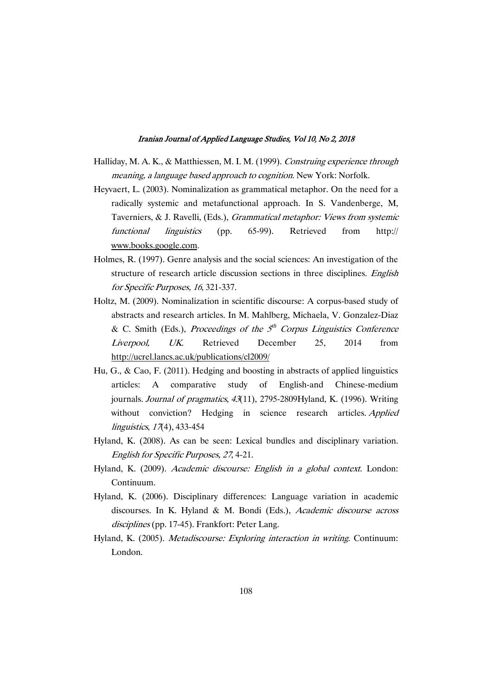- Halliday, M. A. K., & Matthiessen, M. I. M. (1999). Construing experience through meaning, a language based approach to cognition. New York: Norfolk.
- Heyvaert, L. (2003). Nominalization as grammatical metaphor. On the need for a radically systemic and metafunctional approach. In S. Vandenberge, M, Taverniers, & J. Ravelli, (Eds.), Grammatical metaphor: Views from systemic functional linguistics (pp. 65-99). Retrieved from http:// www.books.google.com.
- Holmes, R. (1997). Genre analysis and the social sciences: An investigation of the structure of research article discussion sections in three disciplines. English for Specific Purposes, 16, 321-337.
- Holtz, M. (2009). Nominalization in scientific discourse: A corpus-based study of abstracts and research articles. In M. Mahlberg, Michaela, V. Gonzalez-Diaz & C. Smith (Eds.), Proceedings of the  $5<sup>th</sup>$  Corpus Linguistics Conference Liverpool, UK. Retrieved December 25, 2014 from http://ucrel.lancs.ac.uk/publications/cl2009/
- Hu, G., & Cao, F. (2011). Hedging and boosting in abstracts of applied linguistics articles: A comparative study of English-and Chinese-medium journals. Journal of pragmatics,  $43(11)$ , 2795-2809Hyland, K. (1996). Writing without conviction? Hedging in science research articles. Applied linguistics, 17(4), 433-454
- Hyland, K. (2008). As can be seen: Lexical bundles and disciplinary variation. English for Specific Purposes, 27, 4-21.
- Hyland, K. (2009). Academic discourse: English in a global context. London: Continuum.
- Hyland, K. (2006). Disciplinary differences: Language variation in academic discourses. In K. Hyland & M. Bondi (Eds.), Academic discourse across disciplines (pp. 17-45). Frankfort: Peter Lang.
- Hyland, K. (2005). Metadiscourse: Exploring interaction in writing. Continuum: London.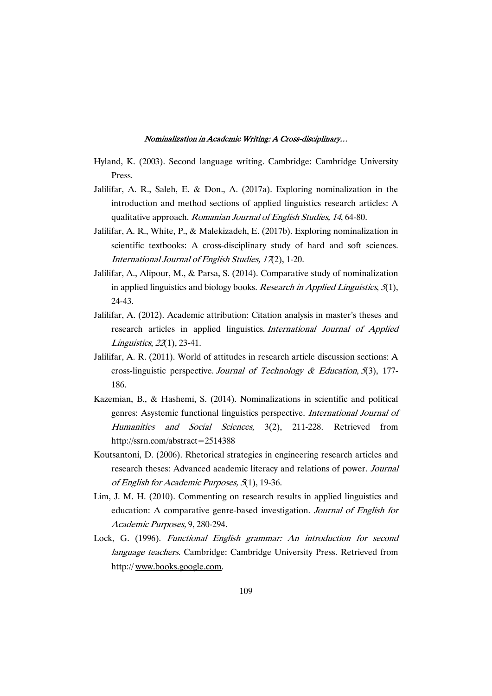- Hyland, K. (2003). Second language writing. Cambridge: Cambridge University Press.
- Jalilifar, A. R., Saleh, E. & Don., A. (2017a). Exploring nominalization in the introduction and method sections of applied linguistics research articles: A qualitative approach. Romanian Journal of English Studies, 14, 64-80.
- Jalilifar, A. R., White, P., & Malekizadeh, E. (2017b). Exploring nominalization in scientific textbooks: A cross-disciplinary study of hard and soft sciences. International Journal of English Studies,  $17(2)$ , 1-20.
- Jalilifar, A., Alipour, M., & Parsa, S. (2014). Comparative study of nominalization in applied linguistics and biology books. Research in Applied Linguistics,  $5(1)$ , 24-43.
- Jalilifar, A. (2012). Academic attribution: Citation analysis in master's theses and research articles in applied linguistics. International Journal of Applied Linguistics, 22(1), 23-41.
- Jalilifar, A. R. (2011). World of attitudes in research article discussion sections: A cross-linguistic perspective. Journal of Technology & Education,  $5(3)$ , 177-186.
- Kazemian, B., & Hashemi, S. (2014). Nominalizations in scientific and political genres: Asystemic functional linguistics perspective. International Journal of Humanities and Social Sciences, 3(2), 211-228. Retrieved from http://ssrn.com/abstract=2514388
- Koutsantoni, D. (2006). Rhetorical strategies in engineering research articles and research theses: Advanced academic literacy and relations of power. Journal of English for Academic Purposes, 5(1), 19-36.
- Lim, J. M. H. (2010). Commenting on research results in applied linguistics and education: A comparative genre-based investigation. Journal of English for Academic Purposes, 9, 280-294.
- Lock, G. (1996). Functional English grammar: An introduction for second language teachers. Cambridge: Cambridge University Press. Retrieved from http://www.books.google.com.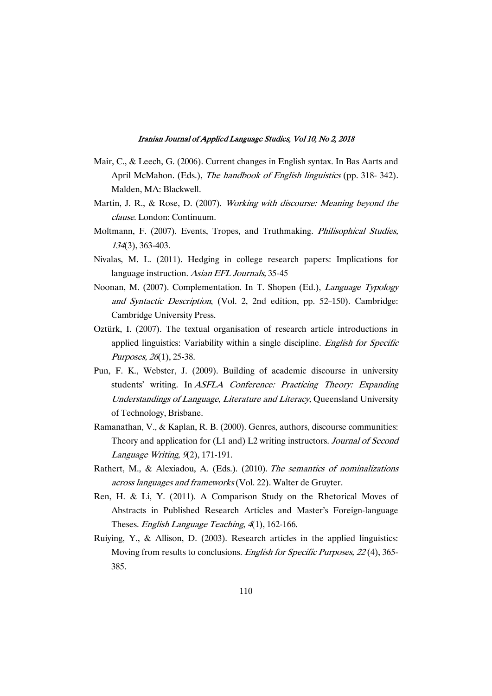- Mair, C., & Leech, G. (2006). Current changes in English syntax. In Bas Aarts and April McMahon. (Eds.), The handbook of English linguistics (pp. 318-342). Malden, MA: Blackwell.
- Martin, J. R., & Rose, D. (2007). Working with discourse: Meaning beyond the clause.London:Continuum.
- Moltmann, F. (2007). Events, Tropes, and Truthmaking. Philisophical Studies, <sup>134</sup>(3),363-403.
- Nivalas, M. L. (2011). Hedging in college research papers: Implications for language instruction. Asian EFL Journals, 35-45
- Noonan, M. (2007). Complementation. In T. Shopen (Ed.), *Language Typology* and Syntactic Description, (Vol. 2, 2nd edition, pp. 52-150). Cambridge: Cambridge University Press.
- Oztürk, I. (2007). The textual organisation of research article introductions in applied linguistics: Variability within a single discipline. English for Specific Purposes, 26(1), 25-38.
- Pun, F. K., Webster, J. (2009). Building of academic discourse in university students' writing. In ASFLA Conference: Practicing Theory: Expanding Understandings of Language, Literature and Literacy, Queensland University of Technology, Brisbane.
- Ramanathan, V., & Kaplan, R. B. (2000). Genres, authors, discourse communities: Theory and application for (L1 and) L2 writing instructors. Journal of Second Language Writing,  $9(2)$ , 171-191.
- Rathert, M., & Alexiadou, A. (Eds.). (2010). The semantics of nominalizations across languages and frameworks (Vol. 22). Walter de Gruyter.
- Ren, H. & Li, Y. (2011). A Comparison Study on the Rhetorical Moves of Abstracts in Published Research Articles and Master's Foreign-language Theses. English Language Teaching, 4(1), 162-166.
- Ruiying, Y., & Allison, D. (2003). Research articles in the applied linguistics: Moving from results to conclusions. English for Specific Purposes, 22(4), 365-385.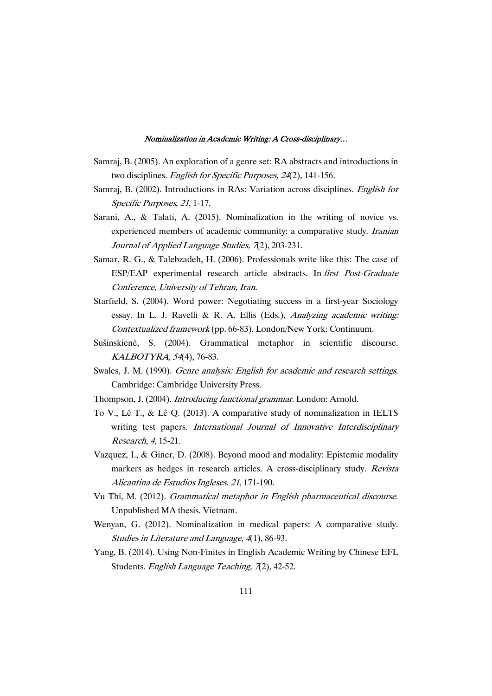- Samraj, B. (2005). An exploration of a genre set: RA abstracts and introductions in two disciplines. English for Specific Purposes, 24(2), 141-156.
- Samraj, B. (2002). Introductions in RAs: Variation across disciplines. English for Specific Purposes, 21, 1-17.
- Sarani, A., & Talati, A. (2015). Nominalization in the writing of novice vs. experienced members of academic community: a comparative study. *Iranian* Journal of Applied Language Studies, 7(2), 203-231.
- Samar, R. G., & Talebzadeh, H. (2006). Professionals write like this: The case of ESP/EAP experimental research article abstracts. In first Post-Graduate Conference, University of Tehran, Iran.
- Starfield, S. (2004). Word power: Negotiating success in a first-year Sociology essay. In L. J. Ravelli & R. A. Ellis (Eds.), Analyzing academic writing: Contextualized framework(pp. 66-83). London/New York: Continuum.
- Sušinskienė, S. (2004). Grammatical metaphor in scientific discourse. KALBOTYRA, 54(4), 76-83.
- Swales, J. M. (1990). Genre analysis: English for academic and research settings. Cambridge: Cambridge University Press.
- Thompson, J. (2004). *Introducing functional grammar*. London: Arnold.
- To V., Lê T., & Lê Q. (2013). A comparative study of nominalization in IELTS writing test papers. International Journal of Innovative Interdisciplinary Research, 4, 15-21.
- Vazquez, I., & Giner, D. (2008). Beyond mood and modality: Epistemic modality markers as hedges in research articles. A cross-disciplinary study. Revista Alicantina de Estudios Ingleses. 21, 171-190.
- Vu Thi, M. (2012). Grammatical metaphor in English pharmaceutical discourse. Unpublished MA thesis. Vietnam.
- Wenyan, G. (2012). Nominalization in medical papers: A comparative study. Studies in Literature and Language, 4(1), 86-93.
- Yang, B. (2014). Using Non-Finites in English Academic Writing by Chinese EFL Students. English Language Teaching,  $\pi$ 2), 42-52.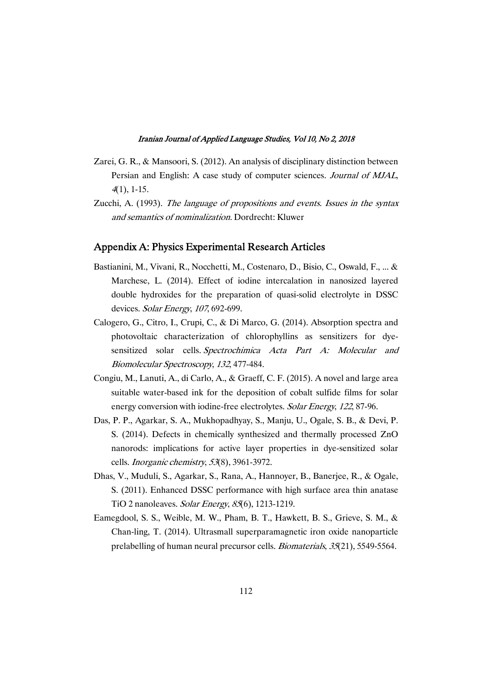- Zarei, G. R., & Mansoori, S. (2012). An analysis of disciplinary distinction between Persian and English: A case study of computer sciences. Journal of MJAL,  $4(1)$ , 1-15.
- Zucchi, A. (1993). The language of propositions and events. Issues in the syntax and semantics of nominalization. Dordrecht: Kluwer

### Appendix A: Physics Experimental Research Articles

- Bastianini, M., Vivani, R., Nocchetti, M., Costenaro, D., Bisio, C., Oswald, F., ... & Marchese, L. (2014). Effect of iodine intercalation in nanosized layered double hydroxides for the preparation of quasi-solid electrolyte in DSSC devices. Solar Energy, 107, 692-699.
- Calogero, G., Citro, I., Crupi, C., & Di Marco, G. (2014). Absorption spectra and photovoltaic characterization of chlorophyllins as sensitizers for dyesensitized solar cells. Spectrochimica Acta Part A: Molecular and Biomolecular Spectroscopy, 132, 477-484.
- Congiu, M., Lanuti, A., di Carlo, A., & Graeff, C. F. (2015). A novel and large area suitable water-based ink for the deposition of cobalt sulfide films for solar energy conversion with iodine-free electrolytes. Solar Energy, 122, 87-96.
- Das, P. P., Agarkar, S. A., Mukhopadhyay, S., Manju, U., Ogale, S. B., & Devi, P. S. (2014). Defects in chemically synthesized and thermally processed ZnO nanorods: implications for active layer properties in dye-sensitized solar cells. *Inorganic chemistry*, 53(8), 3961-3972.
- Dhas, V., Muduli, S., Agarkar, S., Rana, A., Hannoyer, B., Banerjee, R., & Ogale, S. (2011). Enhanced DSSC performance with high surface area thin anatase TiO 2 nanoleaves. Solar Energy, 85(6), 1213-1219.
- Eamegdool, S. S., Weible, M. W., Pham, B. T., Hawkett, B. S., Grieve, S. M., & Chan-ling, T. (2014). Ultrasmall superparamagnetic iron oxide nanoparticle prelabelling of human neural precursor cells. Biomaterials, 35(21), 5549-5564.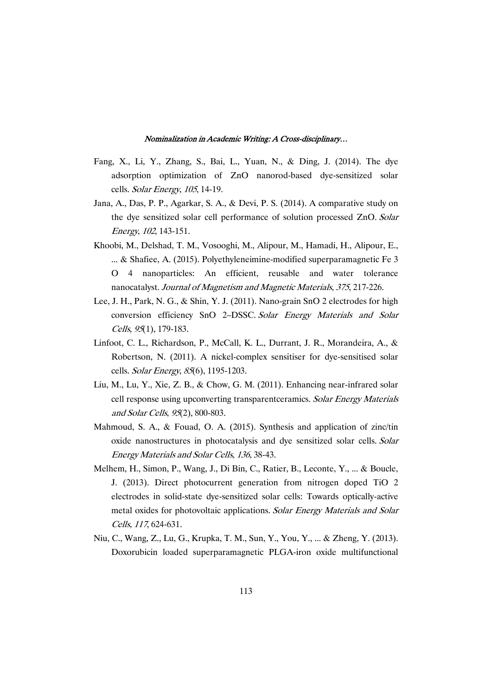- Fang, X., Li, Y., Zhang, S., Bai, L., Yuan, N., & Ding, J. (2014). The dye adsorption optimization of ZnO nanorod-based dye-sensitized solar cells. Solar Energy, 105, 14-19.
- Jana, A., Das, P. P., Agarkar, S. A., & Devi, P. S. (2014). A comparative study on the dye sensitized solar cell performance of solution processed ZnO. Solar Energy,102,143-151.
- Khoobi, M., Delshad, T. M., Vosooghi, M., Alipour, M., Hamadi, H., Alipour, E., ... & Shafiee, A. (2015). Polyethyleneimine-modified superparamagnetic Fe  $3$ O 4 nanoparticles: An efficient, reusable and water tolerance nanocatalyst. Journal of Magnetism and Magnetic Materials, 375, 217-226.
- Lee, J. H., Park, N. G., & Shin, Y. J. (2011). Nano-grain SnO 2 electrodes for high conversion efficiency SnO 2-DSSC. Solar Energy Materials and Solar Cells, 95(1), 179-183.
- Linfoot, C. L., Richardson, P., McCall, K. L., Durrant, J. R., Morandeira, A., & Robertson, N. (2011). A nickel-complex sensitiser for dye-sensitised solar cells. Solar Energy, 85(6), 1195-1203.
- Liu, M., Lu, Y., Xie, Z. B., & Chow, G. M. (2011). Enhancing near-infrared solar cell response using upconverting transparentceramics. Solar Energy Materials and Solar Cells, 95(2), 800-803.
- Mahmoud, S. A., & Fouad, O. A. (2015). Synthesis and application of zinc/tin oxide nanostructures in photocatalysis and dye sensitized solar cells. Solar Energy Materials and Solar Cells, 136, 38-43.
- Melhem, H., Simon, P., Wang, J., Di Bin, C., Ratier, B., Leconte, Y., ... & Boucle, J. (2013). Direct photocurrent generation from nitrogen doped TiO 2 electrodes in solid-state dye-sensitized solar cells: Towards optically-active metal oxides for photovoltaic applications. Solar Energy Materials and Solar Cells, 117, 624-631.
- Niu,C.,Wang,Z.,Lu,G.,Krupka,T.M.,Sun,Y.,You,Y.,...&Zheng,Y.(2013). Doxorubicin loaded superparamagnetic PLGA-iron oxide multifunctional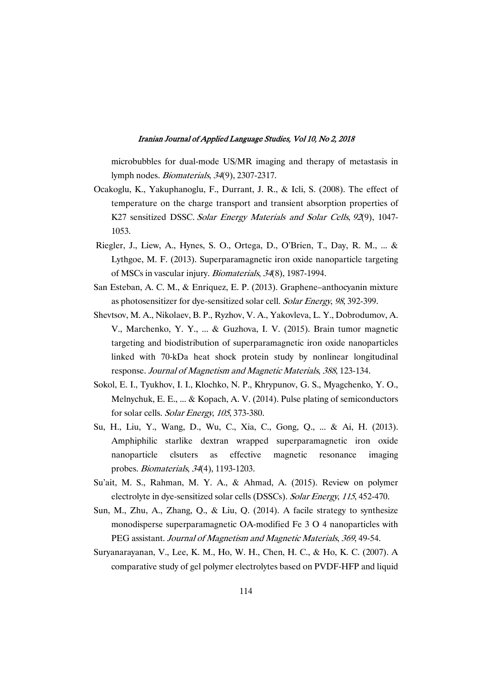microbubbles for dual-mode US/MR imaging and therapy of metastasis in lymph nodes. *Biomaterials*, 34(9), 2307-2317.

- Ocakoglu, K., Yakuphanoglu, F., Durrant, J. R., & Icli, S. (2008). The effect of temperature on the charge transport and transient absorption properties of K27 sensitized DSSC. Solar Energy Materials and Solar Cells, 92(9), 1047-1053.
- Riegler, J., Liew, A., Hynes, S. O., Ortega, D., O'Brien, T., Day, R. M., ... & Lythgoe, M. F. (2013). Superparamagnetic iron oxide nanoparticle targeting of MSCs in vascular injury. Biomaterials, 34(8), 1987-1994.
- San Esteban, A. C. M., & Enriquez, E. P. (2013). Graphene–anthocyanin mixture as photosensitizer for dye-sensitized solar cell. Solar Energy, 98, 392-399.
- Shevtsov, M. A., Nikolaev, B. P., Ryzhov, V. A., Yakovleva, L. Y., Dobrodumov, A. V., Marchenko, Y. Y., ... & Guzhova, I. V. (2015). Brain tumor magnetic targeting and biodistribution of superparamagnetic iron oxide nanoparticles linked with 70-kDa heat shock protein study by nonlinear longitudinal response. Journal of Magnetism and Magnetic Materials, 388, 123-134.
- Sokol, E. I., Tyukhov, I. I., Klochko, N. P., Khrypunov, G. S., Myagchenko, Y. O., Melnychuk, E. E., ... & Kopach, A. V. (2014). Pulse plating of semiconductors for solar cells. Solar Energy, 105, 373-380.
- Su, H., Liu, Y., Wang, D., Wu, C., Xia, C., Gong, Q., ... & Ai, H. (2013). Amphiphilic starlike dextran wrapped superparamagnetic iron oxide nanoparticle clsuters as effective magnetic resonance imaging probes. *Biomaterials*, 34(4), 1193-1203.
- Su'ait, M. S., Rahman, M. Y. A., & Ahmad, A. (2015). Review on polymer electrolyte in dye-sensitized solar cells (DSSCs). Solar Energy, 115, 452-470.
- Sun, M., Zhu, A., Zhang, Q., & Liu, Q. (2014). A facile strategy to synthesize monodisperse superparamagnetic OA-modified Fe  $3$  O 4 nanoparticles with PEG assistant. Journal of Magnetism and Magnetic Materials, 369, 49-54.
- Suryanarayanan, V., Lee, K. M., Ho, W. H., Chen, H. C., & Ho, K. C. (2007). A comparative study of gel polymer electrolytes based on PVDF-HFP and liquid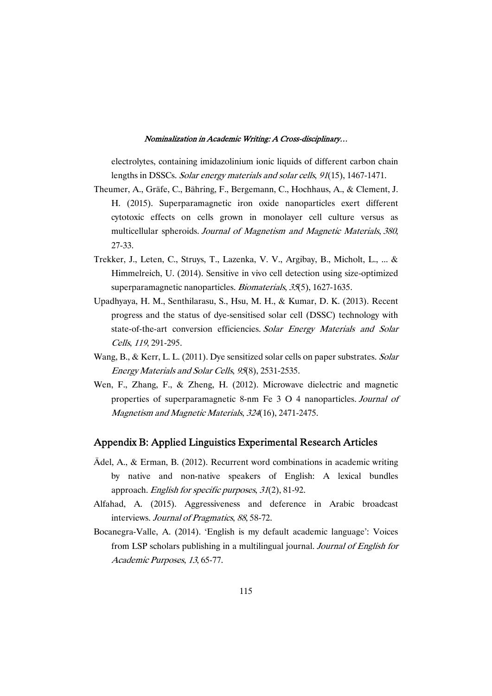electrolytes, containing imidazolinium ionic liquids of different carbon chain lengths in DSSCs. Solar energy materials and solar cells, 91(15), 1467-1471.

- Theumer, A., Gräfe, C., Bähring, F., Bergemann, C., Hochhaus, A., & Clement, J. H. (2015). Superparamagnetic iron oxide nanoparticles exert different cytotoxic effects on cells grown in monolayer cell culture versus as multicellular spheroids. Journal of Magnetism and Magnetic Materials, 380, 27-33.
- Trekker, J., Leten, C., Struys, T., Lazenka, V. V., Argibay, B., Micholt, L., ... & Himmelreich, U. (2014). Sensitive in vivo cell detection using size-optimized superparamagnetic nanoparticles. Biomaterials, 35(5), 1627-1635.
- Upadhyaya, H. M., Senthilarasu, S., Hsu, M. H., & Kumar, D. K. (2013). Recent progress and the status of dye-sensitised solar cell(DSSC) technology with state-of-the-art conversion efficiencies. Solar Energy Materials and Solar Cells, 119, 291-295.
- Wang, B., & Kerr, L. L. (2011). Dye sensitized solar cells on paper substrates. Solar Energy Materials and Solar Cells, 95(8), 2531-2535.
- Wen, F., Zhang, F., & Zheng, H. (2012). Microwave dielectric and magnetic properties of superparamagnetic 8-nm Fe 3 O 4 nanoparticles.Journal of Magnetism and Magnetic Materials, 324(16), 2471-2475.

### Appendix B: Applied Linguistics Experimental Research Articles

- $\ddot{A}$ del, A., & Erman, B. (2012). Recurrent word combinations in academic writing by native and non-native speakers of English: A lexical bundles approach. English for specific purposes,  $31(2)$ , 81-92.
- Alfahad, A. (2015). Aggressiveness and deference in Arabic broadcast interviews. Journal of Pragmatics, 88, 58-72.
- Bocanegra-Valle, A. (2014). 'English is my default academic language': Voices from LSP scholars publishing in a multilingual journal. Journal of English for Academic Purposes, 13, 65-77.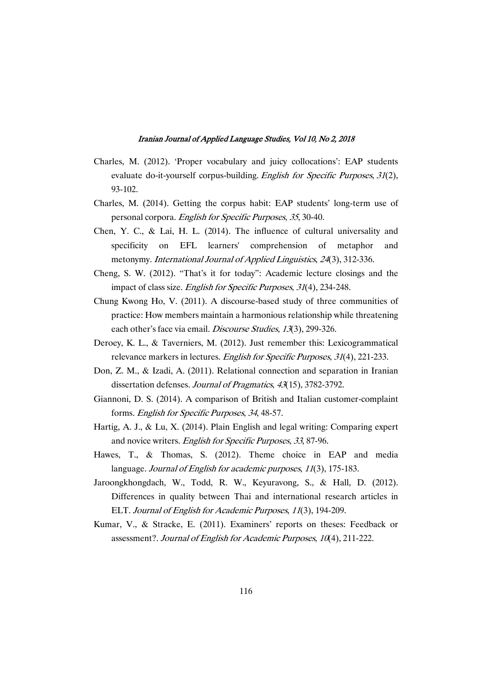- Charles, M. (2012). 'Proper vocabulary and juicy collocations': EAP students evaluate do-it-yourself corpus-building. English for Specific Purposes, 31(2), 93-102.
- Charles, M. (2014). Getting the corpus habit: EAP students' long-term use of personal corpora. English for Specific Purposes, 35,30-40.
- Chen, Y. C., & Lai, H. L. (2014). The influence of cultural universality and specificity on EFL learners' comprehension of metaphor and metonymy. International Journal of Applied Linguistics, 24(3), 312-336.
- Cheng, S. W. (2012). "That's it for today": Academic lecture closings and the impact of class size. *English for Specific Purposes*, 31(4), 234-248.
- Chung Kwong Ho, V. (2011). A discourse-based study of three communities of practice: How members maintain a harmonious relationship while threatening each other's face via email. Discourse Studies, 13(3), 299-326.
- Deroey, K. L., & Taverniers, M. (2012). Just remember this: Lexicogrammatical relevance markers in lectures. English for Specific Purposes, 31(4), 221-233.
- Don, Z. M., & Izadi, A. (2011). Relational connection and separation in Iranian dissertation defenses. Journal of Pragmatics, 43(15), 3782-3792.
- Giannoni, D. S. (2014). A comparison of British and Italian customer-complaint forms. English for Specific Purposes, 34,48-57.
- Hartig, A. J., & Lu, X. (2014). Plain English and legal writing: Comparing expert and novice writers. English for Specific Purposes, 33, 87-96.
- Hawes, T., & Thomas, S. (2012). Theme choice in EAP and media language. Journal of English for academic purposes, 11(3), 175-183.
- Jaroongkhongdach, W., Todd, R. W., Keyuravong, S., & Hall, D. (2012). Differences in quality between Thai and international research articles in ELT. Journal of English for Academic Purposes, 11(3), 194-209.
- Kumar, V., & Stracke, E. (2011). Examiners' reports on theses: Feedback or assessment?. Journal of English for Academic Purposes, 10(4), 211-222.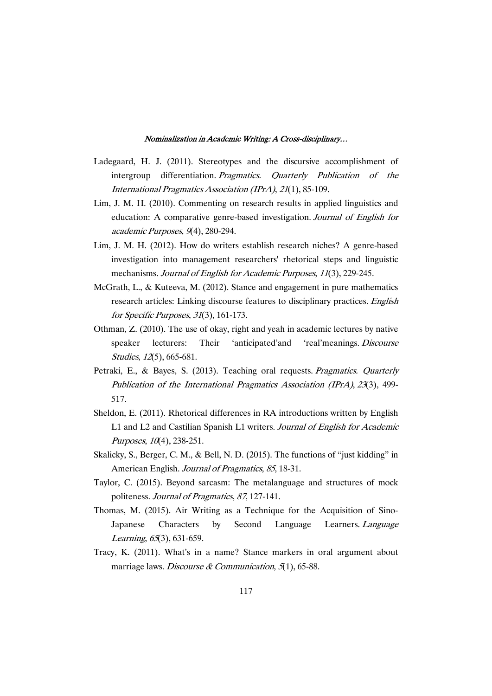- Ladegaard, H. J. (2011). Stereotypes and the discursive accomplishment of intergroup differentiation. Pragmatics. Quarterly Publication of the International Pragmatics Association (IPrA), 21(1), 85-109.
- Lim, J. M. H. (2010). Commenting on research results in applied linguistics and education: A comparative genre-based investigation. Journal of English for academic Purposes, 9(4), 280-294.
- Lim, J. M. H. (2012). How do writers establish research niches? A genre-based investigation into management researchers' rhetorical steps and linguistic mechanisms. Journal of English for Academic Purposes, 11(3), 229-245.
- McGrath, L., & Kuteeva, M. (2012). Stance and engagement in pure mathematics research articles: Linking discourse features to disciplinary practices. English for Specific Purposes, 31(3), 161-173.
- Othman, Z. (2010). The use of okay, right and yeah in academic lectures by native speaker lecturers: Their 'anticipated'and 'real'meanings. Discourse Studies, 12(5), 665-681.
- Petraki, E., & Bayes, S. (2013). Teaching oral requests. Pragmatics. Quarterly Publication of the International Pragmatics Association (IPrA),23(3), 499- 517.
- Sheldon, E. (2011). Rhetorical differences in RA introductions written by English L1 and L2 and Castilian Spanish L1 writers. Journal of English for Academic Purposes, 10(4), 238-251.
- Skalicky, S., Berger, C. M., & Bell, N. D. (2015). The functions of "just kidding" in American English. Journal of Pragmatics, 85, 18-31.
- Taylor, C. (2015). Beyond sarcasm: The metalanguage and structures of mock politeness. Journal of Pragmatics, 87, 127-141.
- Thomas, M. (2015). Air Writing as a Technique for the Acquisition of Sino-Japanese Characters by Second Language Learners. Language Learning, 65(3), 631-659.
- Tracy, K. (2011). What's in a name? Stance markers in oral argument about marriage laws. Discourse & Communication,  $5(1)$ , 65-88.